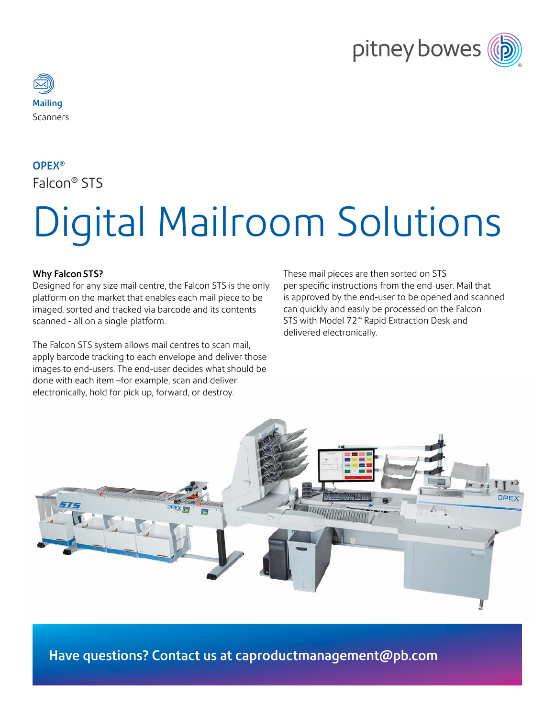



# OPEX® Falcon® STS

# Digital Mailroom Solutions

#### Why Falcon STS?

Designed for any size mail centre, the Falcon STS is the only platform on the market that enables each mail piece to be imaged, sorted and tracked via barcode and its contents scanned - all on a single platform.

The Falcon STS system allows mail centres to scan mail, apply barcode tracking to each envelope and deliver those images to end-users. The end-user decides what should be done with each item –for example, scan and deliver electronically, hold for pick up, forward, or destroy.

These mail pieces are then sorted on STS per specific instructions from the end-user. Mail that is approved by the end-user to be opened and scanned can quickly and easily be processed on the Falcon STS with Model 72™ Rapid Extraction Desk and delivered electronically.



Have questions? Contact us at <caproductmanagement@pb.com>